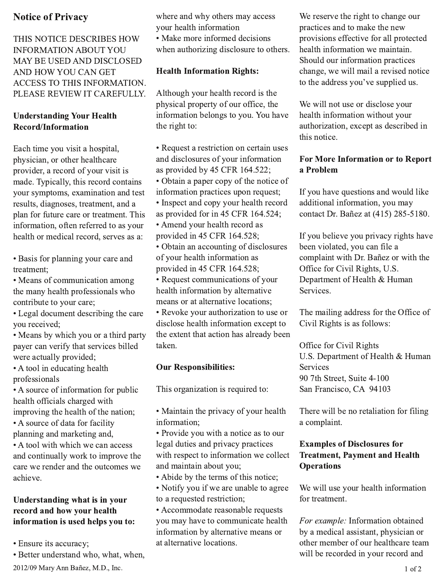# **Notice of Privacy**

THIS NOTICE DESCRIBES HOW **INFORMATION ABOUT YOU** MAY BE USED AND DISCLOSED AND HOW YOU CAN GET ACCESS TO THIS INFORMATION. PLEASE REVIEW IT CAREFULLY.

## **Understanding Your Health** Record/Information

Each time you visit a hospital, physician, or other healthcare provider, a record of your visit is made. Typically, this record contains your symptoms, examination and test results, diagnoses, treatment, and a plan for future care or treatment. This information, often referred to as your health or medical record, serves as a:

• Basis for planning your care and treatment:

• Means of communication among the many health professionals who contribute to your care;

• Legal document describing the care you received;

• Means by which you or a third party payer can verify that services billed were actually provided;

• A tool in educating health professionals

• A source of information for public health officials charged with improving the health of the nation;

• A source of data for facility planning and marketing and,

• A tool with which we can access and continually work to improve the care we render and the outcomes we achieve.

#### Understanding what is in your record and how your health information is used helps you to:

- Ensure its accuracy;
- · Better understand who, what, when,

2012/09 Mary Ann Bañez, M.D., Inc.

where and why others may access your health information

• Make more informed decisions when authorizing disclosure to others.

# **Health Information Rights:**

Although your health record is the physical property of our office, the information belongs to you. You have the right to:

• Request a restriction on certain uses and disclosures of your information as provided by 45 CFR 164.522; • Obtain a paper copy of the notice of information practices upon request; • Inspect and copy your health record as provided for in 45 CFR 164.524; • Amend your health record as provided in 45 CFR 164.528; • Obtain an accounting of disclosures of your health information as

provided in 45 CFR 164.528; • Request communications of your health information by alternative

means or at alternative locations;

• Revoke your authorization to use or disclose health information except to the extent that action has already been taken.

## **Our Responsibilities:**

This organization is required to:

• Maintain the privacy of your health information;

• Provide you with a notice as to our legal duties and privacy practices with respect to information we collect and maintain about you;

• Abide by the terms of this notice;

• Notify you if we are unable to agree to a requested restriction;

• Accommodate reasonable requests you may have to communicate health information by alternative means or at alternative locations.

We reserve the right to change our practices and to make the new provisions effective for all protected health information we maintain. Should our information practices change, we will mail a revised notice to the address you've supplied us.

We will not use or disclose your health information without your authorization, except as described in this notice.

# For More Information or to Report a Problem

If you have questions and would like additional information, you may contact Dr. Bañez at (415) 285-5180.

If you believe you privacy rights have been violated, you can file a complaint with Dr. Bañez or with the Office for Civil Rights, U.S. Department of Health & Human Services.

The mailing address for the Office of Civil Rights is as follows:

Office for Civil Rights U.S. Department of Health & Human **Services** 90 7th Street, Suite 4-100 San Francisco, CA 94103

There will be no retaliation for filing a complaint.

# **Examples of Disclosures for Treatment, Payment and Health Operations**

We will use your health information for treatment.

For example: Information obtained by a medical assistant, physician or other member of our healthcare team will be recorded in your record and